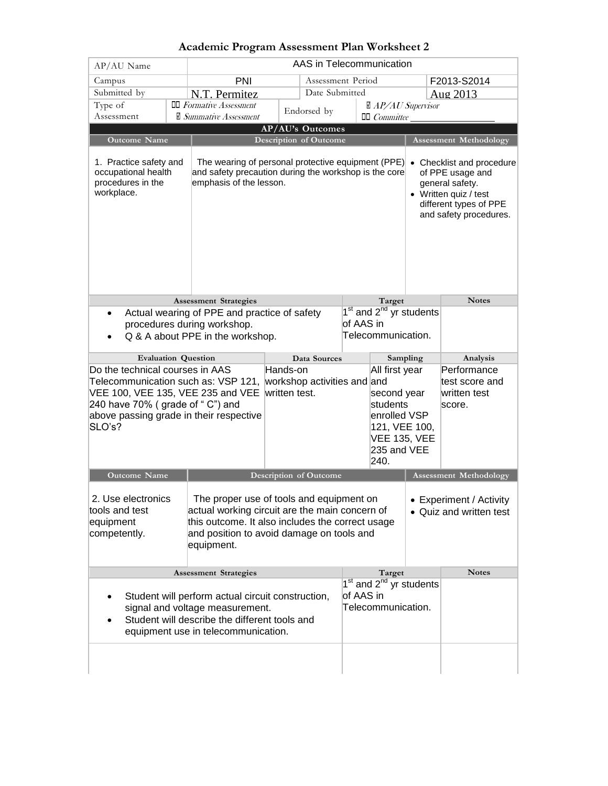| AP/AU Name                                                                                                                                                                                                                 |                                                                 | AAS in Telecommunication                                                                                                                                                                                                                                        |                                                                                                                                                                                      |  |                                                                                    |                                                                                                                                               |                               |              |  |
|----------------------------------------------------------------------------------------------------------------------------------------------------------------------------------------------------------------------------|-----------------------------------------------------------------|-----------------------------------------------------------------------------------------------------------------------------------------------------------------------------------------------------------------------------------------------------------------|--------------------------------------------------------------------------------------------------------------------------------------------------------------------------------------|--|------------------------------------------------------------------------------------|-----------------------------------------------------------------------------------------------------------------------------------------------|-------------------------------|--------------|--|
| Campus                                                                                                                                                                                                                     |                                                                 | PNI<br>Assessment Period                                                                                                                                                                                                                                        |                                                                                                                                                                                      |  |                                                                                    |                                                                                                                                               | F2013-S2014                   |              |  |
| Submitted by                                                                                                                                                                                                               |                                                                 | N.T. Permitez                                                                                                                                                                                                                                                   | Date Submitted                                                                                                                                                                       |  |                                                                                    | Aug 2013                                                                                                                                      |                               |              |  |
| Type of                                                                                                                                                                                                                    |                                                                 | $\Box$ Formative Assessment<br>$\mathbb{Z}$ AP/AU Supervisor<br>Endorsed by                                                                                                                                                                                     |                                                                                                                                                                                      |  |                                                                                    |                                                                                                                                               |                               |              |  |
| Assessment                                                                                                                                                                                                                 |                                                                 | ■ Summative Assessment                                                                                                                                                                                                                                          |                                                                                                                                                                                      |  |                                                                                    | $\Box$ Committee                                                                                                                              |                               |              |  |
| Outcome Name                                                                                                                                                                                                               |                                                                 | AP/AU's Outcomes<br><b>Description of Outcome</b>                                                                                                                                                                                                               |                                                                                                                                                                                      |  |                                                                                    |                                                                                                                                               | <b>Assessment Methodology</b> |              |  |
| 1. Practice safety and<br>The wearing of personal protective equipment (PPE)<br>occupational health<br>and safety precaution during the workshop is the core<br>procedures in the<br>emphasis of the lesson.<br>workplace. |                                                                 |                                                                                                                                                                                                                                                                 |                                                                                                                                                                                      |  |                                                                                    | • Checklist and procedure<br>of PPE usage and<br>general safety.<br>• Written quiz / test<br>different types of PPE<br>and safety procedures. |                               |              |  |
|                                                                                                                                                                                                                            |                                                                 | <b>Assessment Strategies</b>                                                                                                                                                                                                                                    |                                                                                                                                                                                      |  |                                                                                    | Target                                                                                                                                        |                               | <b>Notes</b> |  |
| $\bullet$                                                                                                                                                                                                                  | procedures during workshop.<br>Q & A about PPE in the workshop. | Actual wearing of PPE and practice of safety                                                                                                                                                                                                                    |                                                                                                                                                                                      |  | 1 <sup>st</sup> and 2 <sup>nd</sup> yr students<br>of AAS in<br>Telecommunication. |                                                                                                                                               |                               |              |  |
| <b>Evaluation Question</b>                                                                                                                                                                                                 |                                                                 |                                                                                                                                                                                                                                                                 | Data Sources                                                                                                                                                                         |  |                                                                                    | Sampling                                                                                                                                      |                               | Analysis     |  |
| Do the technical courses in AAS<br>Telecommunication such as: VSP 121,<br>VEE 100, VEE 135, VEE 235 and VEE<br>240 have 70% (grade of "C") and<br>above passing grade in their respective<br>SLO's?                        |                                                                 |                                                                                                                                                                                                                                                                 | Hands-on<br>All first year<br>workshop activities and and<br>written test.<br>second year<br>students<br>enrolled VSP<br>121, VEE 100,<br><b>VEE 135, VEE</b><br>235 and VEE<br>240. |  |                                                                                    | Performance<br>test score and<br>written test<br>score.                                                                                       |                               |              |  |
| <b>Outcome Name</b><br><b>Description of Outcome</b>                                                                                                                                                                       |                                                                 |                                                                                                                                                                                                                                                                 |                                                                                                                                                                                      |  | <b>Assessment Methodology</b>                                                      |                                                                                                                                               |                               |              |  |
| 2. Use electronics<br>tools and test<br>equipment<br>competently.                                                                                                                                                          |                                                                 | The proper use of tools and equipment on<br>• Experiment / Activity<br>actual working circuit are the main concern of<br>• Quiz and written test<br>this outcome. It also includes the correct usage<br>and position to avoid damage on tools and<br>equipment. |                                                                                                                                                                                      |  |                                                                                    |                                                                                                                                               |                               |              |  |
| <b>Assessment Strategies</b>                                                                                                                                                                                               |                                                                 |                                                                                                                                                                                                                                                                 |                                                                                                                                                                                      |  |                                                                                    | Target                                                                                                                                        |                               | <b>Notes</b> |  |
| Student will perform actual circuit construction,<br>signal and voltage measurement.<br>Student will describe the different tools and<br>equipment use in telecommunication.                                               |                                                                 |                                                                                                                                                                                                                                                                 |                                                                                                                                                                                      |  | of AAS in                                                                          | 1 <sup>st</sup> and 2 <sup>nd</sup> yr students<br>Telecommunication.                                                                         |                               |              |  |
|                                                                                                                                                                                                                            |                                                                 |                                                                                                                                                                                                                                                                 |                                                                                                                                                                                      |  |                                                                                    |                                                                                                                                               |                               |              |  |

## **Academic Program Assessment Plan Worksheet 2**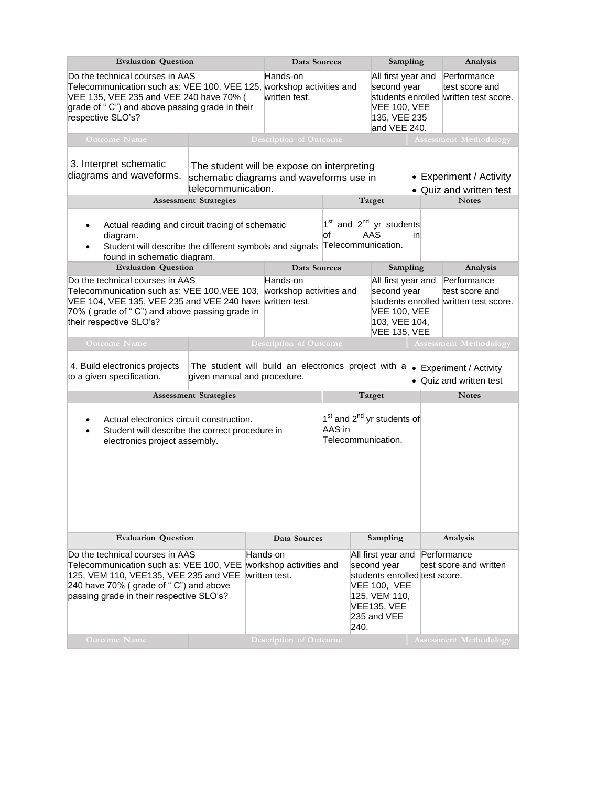| <b>Evaluation Question</b>                                                                                                                                                                                                                          |                              |                               | Data Sources                                                                          |  |  | Sampling                                                                                                                                        |  | Analysis                                                               |  |  |
|-----------------------------------------------------------------------------------------------------------------------------------------------------------------------------------------------------------------------------------------------------|------------------------------|-------------------------------|---------------------------------------------------------------------------------------|--|--|-------------------------------------------------------------------------------------------------------------------------------------------------|--|------------------------------------------------------------------------|--|--|
| Do the technical courses in AAS<br>Telecommunication such as: VEE 100, VEE 125, workshop activities and<br>VEE 135, VEE 235 and VEE 240 have 70% (<br>grade of "C") and above passing grade in their<br>respective SLO's?                           |                              |                               | Hands-on<br>written test.                                                             |  |  | All first year and<br>second year<br><b>VEE 100, VEE</b><br>135, VEE 235<br>and VEE 240.                                                        |  | Performance<br>test score and<br>students enrolled written test score. |  |  |
| <b>Outcome Name</b>                                                                                                                                                                                                                                 |                              | <b>Description of Outcome</b> |                                                                                       |  |  |                                                                                                                                                 |  | <b>Assessment Methodology</b>                                          |  |  |
| 3. Interpret schematic<br>diagrams and waveforms.<br>telecommunication.                                                                                                                                                                             |                              |                               | The student will be expose on interpreting<br>schematic diagrams and waveforms use in |  |  |                                                                                                                                                 |  | • Experiment / Activity<br>• Quiz and written test                     |  |  |
|                                                                                                                                                                                                                                                     | <b>Assessment Strategies</b> |                               |                                                                                       |  |  | Target                                                                                                                                          |  | <b>Notes</b>                                                           |  |  |
| 1 <sup>st</sup> and 2 <sup>nd</sup> yr students<br>Actual reading and circuit tracing of schematic<br>AAS<br>lof<br>inl<br>diagram.<br>Telecommunication.<br>Student will describe the different symbols and signals<br>found in schematic diagram. |                              |                               |                                                                                       |  |  |                                                                                                                                                 |  |                                                                        |  |  |
| <b>Evaluation Question</b>                                                                                                                                                                                                                          |                              |                               | Data Sources                                                                          |  |  | Sampling                                                                                                                                        |  | Analysis                                                               |  |  |
| Do the technical courses in AAS<br>Telecommunication such as: VEE 100, VEE 103, workshop activities and<br>VEE 104, VEE 135, VEE 235 and VEE 240 have written test.<br>70% (grade of "C") and above passing grade in<br>their respective SLO's?     |                              |                               | Hands-on                                                                              |  |  | All first year and<br>second year<br><b>VEE 100, VEE</b><br>103, VEE 104,<br><b>VEE 135, VEE</b>                                                |  | Performance<br>test score and<br>students enrolled written test score. |  |  |
| <b>Outcome Name</b>                                                                                                                                                                                                                                 |                              |                               | <b>Description of Outcome</b>                                                         |  |  |                                                                                                                                                 |  | <b>Assessment Methodology</b>                                          |  |  |
| The student will build an electronics project with a<br>4. Build electronics projects<br>given manual and procedure.<br>to a given specification.                                                                                                   |                              |                               |                                                                                       |  |  |                                                                                                                                                 |  | • Experiment / Activity<br>• Quiz and written test                     |  |  |
|                                                                                                                                                                                                                                                     | <b>Assessment Strategies</b> |                               | Target                                                                                |  |  |                                                                                                                                                 |  | <b>Notes</b>                                                           |  |  |
| 1 <sup>st</sup> and 2 <sup>nd</sup> yr students of<br>Actual electronics circuit construction.<br>AAS in<br>Student will describe the correct procedure in<br>Telecommunication.<br>electronics project assembly.                                   |                              |                               |                                                                                       |  |  |                                                                                                                                                 |  |                                                                        |  |  |
| <b>Evaluation Question</b>                                                                                                                                                                                                                          |                              |                               | Data Sources                                                                          |  |  | Sampling                                                                                                                                        |  | Analysis                                                               |  |  |
| Do the technical courses in AAS<br>Telecommunication such as: VEE 100, VEE workshop activities and<br>125, VEM 110, VEE135, VEE 235 and VEE<br>240 have 70% (grade of "C") and above<br>passing grade in their respective SLO's?                    |                              |                               | Hands-on<br>written test.<br>240.                                                     |  |  | All first year and<br>second year<br>students enrolled test score.<br><b>VEE 100, VEE</b><br>125, VEM 110,<br><b>VEE135, VEE</b><br>235 and VEE |  | Performance<br>test score and written                                  |  |  |
| <b>Outcome Name</b>                                                                                                                                                                                                                                 |                              |                               | <b>Description of Outcome</b>                                                         |  |  |                                                                                                                                                 |  | <b>Assessment Methodology</b>                                          |  |  |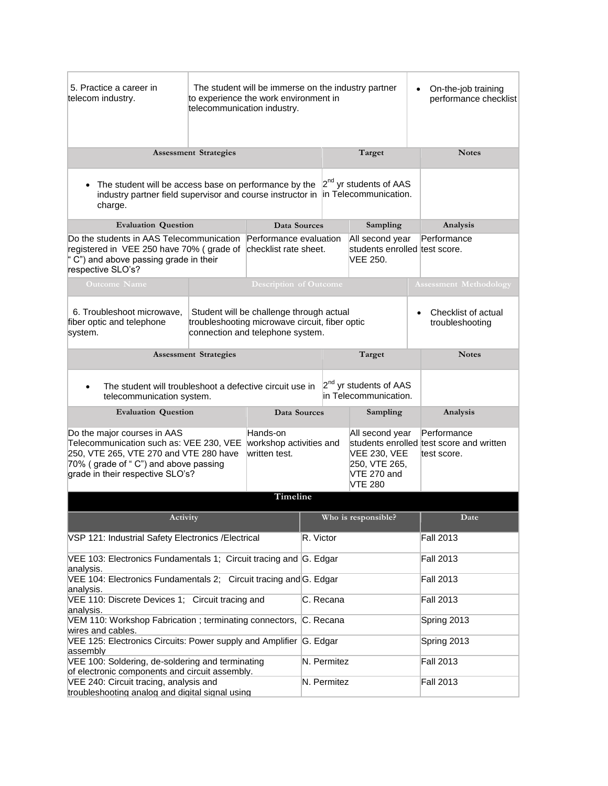| 5. Practice a career in<br>telecom industry.                                                                                                                                                 | The student will be immerse on the industry partner<br>to experience the work environment in<br>telecommunication industry.    |                               |          |                                                                                          |                  |                                                                        | On-the-job training<br>performance checklist |
|----------------------------------------------------------------------------------------------------------------------------------------------------------------------------------------------|--------------------------------------------------------------------------------------------------------------------------------|-------------------------------|----------|------------------------------------------------------------------------------------------|------------------|------------------------------------------------------------------------|----------------------------------------------|
| <b>Assessment Strategies</b>                                                                                                                                                                 | Target                                                                                                                         |                               |          |                                                                                          | <b>Notes</b>     |                                                                        |                                              |
| The student will be access base on performance by the<br>$\bullet$<br>industry partner field supervisor and course instructor in in Telecommunication.<br>charge.                            |                                                                                                                                |                               |          | 2 <sup>nd</sup> yr students of AAS                                                       |                  |                                                                        |                                              |
| <b>Evaluation Question</b>                                                                                                                                                                   |                                                                                                                                | Data Sources                  | Sampling |                                                                                          |                  |                                                                        | Analysis                                     |
| Do the students in AAS Telecommunication<br>registered in VEE 250 have 70% (grade of checklist rate sheet.<br>C") and above passing grade in their<br>respective SLO's?                      | Performance evaluation                                                                                                         |                               |          | All second year<br>students enrolled test score.<br>VEE 250.                             |                  | Performance                                                            |                                              |
| <b>Outcome Name</b>                                                                                                                                                                          |                                                                                                                                | <b>Description of Outcome</b> |          |                                                                                          |                  |                                                                        | <b>Assessment Methodology</b>                |
| 6. Troubleshoot microwave.<br>fiber optic and telephone<br>system.                                                                                                                           | Student will be challenge through actual<br>troubleshooting microwave circuit, fiber optic<br>connection and telephone system. |                               |          | Checklist of actual<br>troubleshooting                                                   |                  |                                                                        |                                              |
|                                                                                                                                                                                              | <b>Assessment Strategies</b>                                                                                                   |                               | Target   |                                                                                          |                  | <b>Notes</b>                                                           |                                              |
| The student will troubleshoot a defective circuit use in<br>telecommunication system.                                                                                                        | 2 <sup>nd</sup> yr students of AAS<br>in Telecommunication.                                                                    |                               |          |                                                                                          |                  |                                                                        |                                              |
| <b>Evaluation Question</b>                                                                                                                                                                   |                                                                                                                                | Data Sources                  |          | Sampling                                                                                 |                  |                                                                        | Analysis                                     |
| Do the major courses in AAS<br>Telecommunication such as: VEE 230, VEE<br>250, VTE 265, VTE 270 and VTE 280 have<br>70% (grade of "C") and above passing<br>grade in their respective SLO's? | Hands-on<br>workshop activities and<br>written test.                                                                           |                               |          | All second year<br><b>VEE 230, VEE</b><br>250, VTE 265,<br>VTE 270 and<br><b>VTE 280</b> |                  | Performance<br>students enrolled test score and written<br>test score. |                                              |
|                                                                                                                                                                                              |                                                                                                                                | Timeline                      |          |                                                                                          |                  |                                                                        |                                              |
| Activity                                                                                                                                                                                     |                                                                                                                                | Who is responsible?           |          |                                                                                          |                  | Date                                                                   |                                              |
| VSP 121: Industrial Safety Electronics / Electrical                                                                                                                                          | R. Victor                                                                                                                      |                               |          |                                                                                          | <b>Fall 2013</b> |                                                                        |                                              |
| VEE 103: Electronics Fundamentals 1; Circuit tracing and G. Edgar<br>analysis.                                                                                                               |                                                                                                                                |                               |          |                                                                                          | <b>Fall 2013</b> |                                                                        |                                              |
| VEE 104: Electronics Fundamentals 2; Circuit tracing and G. Edgar<br>analysis.                                                                                                               |                                                                                                                                |                               |          |                                                                                          | <b>Fall 2013</b> |                                                                        |                                              |
| VEE 110: Discrete Devices 1; Circuit tracing and<br>analysis.                                                                                                                                | C. Recana                                                                                                                      |                               |          |                                                                                          | <b>Fall 2013</b> |                                                                        |                                              |
| VEM 110: Workshop Fabrication; terminating connectors, C. Recana<br>wires and cables.                                                                                                        |                                                                                                                                |                               |          |                                                                                          | Spring 2013      |                                                                        |                                              |
| VEE 125: Electronics Circuits: Power supply and Amplifier G. Edgar<br>assembly                                                                                                               |                                                                                                                                |                               |          |                                                                                          |                  |                                                                        | Spring 2013                                  |
| VEE 100: Soldering, de-soldering and terminating<br>of electronic components and circuit assembly.                                                                                           |                                                                                                                                |                               |          | N. Permitez                                                                              |                  |                                                                        | <b>Fall 2013</b>                             |
| VEE 240: Circuit tracing, analysis and<br>troubleshooting analog and digital signal using                                                                                                    |                                                                                                                                |                               |          | N. Permitez                                                                              |                  |                                                                        | <b>Fall 2013</b>                             |